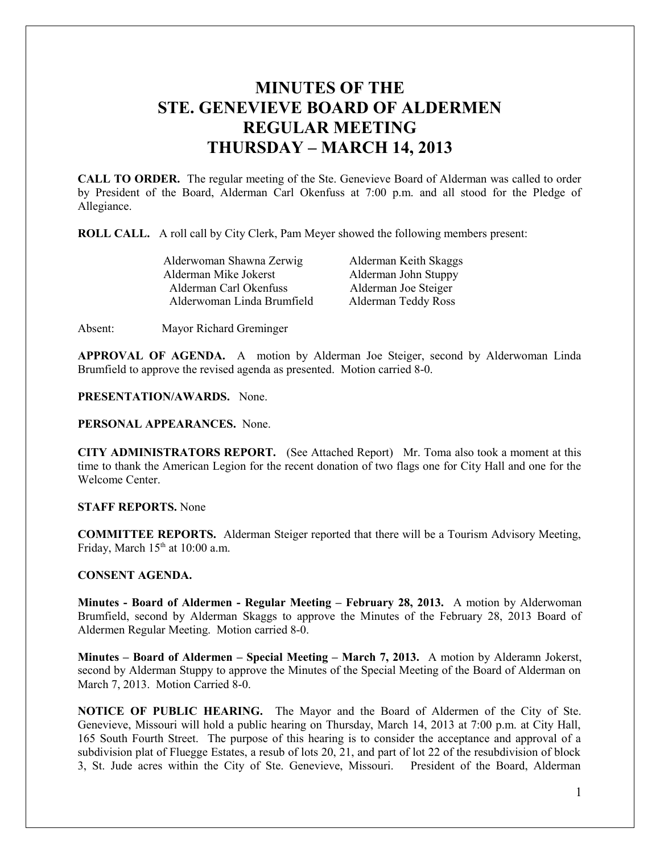# **MINUTES OF THE STE. GENEVIEVE BOARD OF ALDERMEN REGULAR MEETING THURSDAY – MARCH 14, 2013**

**CALL TO ORDER.** The regular meeting of the Ste. Genevieve Board of Alderman was called to order by President of the Board, Alderman Carl Okenfuss at 7:00 p.m. and all stood for the Pledge of Allegiance.

**ROLL CALL.** A roll call by City Clerk, Pam Meyer showed the following members present:

| Alderwoman Shawna Zerwig   | A |
|----------------------------|---|
| Alderman Mike Jokerst      | А |
| Alderman Carl Okenfuss     | А |
| Alderwoman Linda Brumfield | A |
|                            |   |

Alderman Keith Skaggs **Alderman John Stuppy** Alderman Joe Steiger **Iderman Teddy Ross** 

Absent: Mayor Richard Greminger

**APPROVAL OF AGENDA.** A motion by Alderman Joe Steiger, second by Alderwoman Linda Brumfield to approve the revised agenda as presented. Motion carried 8-0.

**PRESENTATION/AWARDS.** None.

**PERSONAL APPEARANCES.** None.

**CITY ADMINISTRATORS REPORT.** (See Attached Report) Mr. Toma also took a moment at this time to thank the American Legion for the recent donation of two flags one for City Hall and one for the Welcome Center.

### **STAFF REPORTS.** None

**COMMITTEE REPORTS.** Alderman Steiger reported that there will be a Tourism Advisory Meeting, Friday, March  $15<sup>th</sup>$  at 10:00 a.m.

# **CONSENT AGENDA.**

**Minutes - Board of Aldermen - Regular Meeting – February 28, 2013.** A motion by Alderwoman Brumfield, second by Alderman Skaggs to approve the Minutes of the February 28, 2013 Board of Aldermen Regular Meeting. Motion carried 8-0.

**Minutes – Board of Aldermen – Special Meeting – March 7, 2013.** A motion by Alderamn Jokerst, second by Alderman Stuppy to approve the Minutes of the Special Meeting of the Board of Alderman on March 7, 2013. Motion Carried 8-0.

**NOTICE OF PUBLIC HEARING.** The Mayor and the Board of Aldermen of the City of Ste. Genevieve, Missouri will hold a public hearing on Thursday, March 14, 2013 at 7:00 p.m. at City Hall, 165 South Fourth Street. The purpose of this hearing is to consider the acceptance and approval of a subdivision plat of Fluegge Estates, a resub of lots 20, 21, and part of lot 22 of the resubdivision of block 3, St. Jude acres within the City of Ste. Genevieve, Missouri. President of the Board, Alderman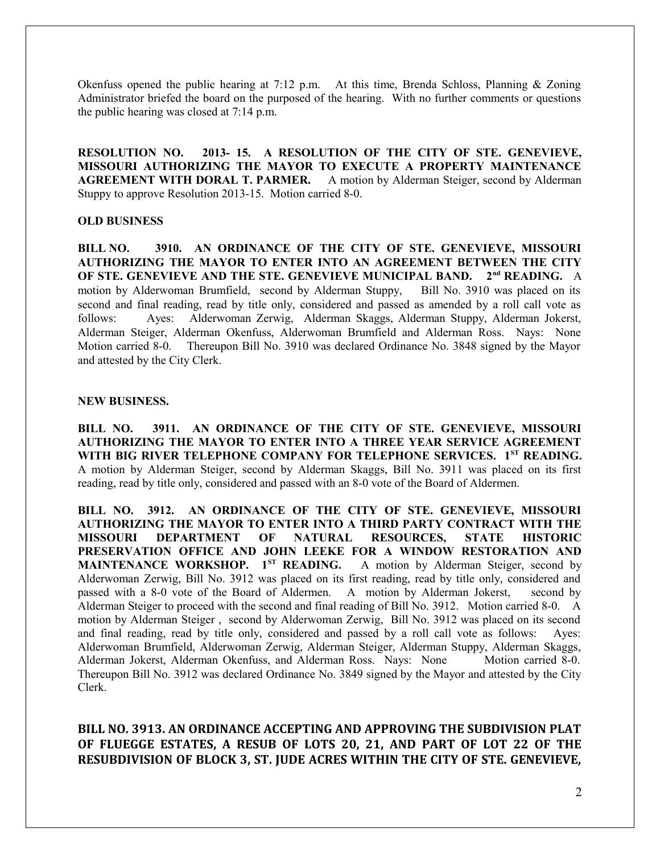Okenfuss opened the public hearing at 7:12 p.m. At this time, Brenda Schloss, Planning & Zoning Administrator briefed the board on the purposed of the hearing. With no further comments or questions the public hearing was closed at 7:14 p.m.

**RESOLUTION NO. 2013- 15. A RESOLUTION OF THE CITY OF STE. GENEVIEVE, MISSOURI AUTHORIZING THE MAYOR TO EXECUTE A PROPERTY MAINTENANCE AGREEMENT WITH DORAL T. PARMER.** A motion by Alderman Steiger, second by Alderman Stuppy to approve Resolution 2013-15. Motion carried 8-0.

# **OLD BUSINESS**

**BILL NO. 3910. AN ORDINANCE OF THE CITY OF STE. GENEVIEVE, MISSOURI AUTHORIZING THE MAYOR TO ENTER INTO AN AGREEMENT BETWEEN THE CITY OF STE. GENEVIEVE AND THE STE. GENEVIEVE MUNICIPAL BAND. 2nd READING.** A motion by Alderwoman Brumfield, second by Alderman Stuppy, Bill No. 3910 was placed on its second and final reading, read by title only, considered and passed as amended by a roll call vote as follows: Ayes: Alderwoman Zerwig, Alderman Skaggs, Alderman Stuppy, Alderman Jokerst, Alderman Steiger, Alderman Okenfuss, Alderwoman Brumfield and Alderman Ross. Nays: None Motion carried 8-0. Thereupon Bill No. 3910 was declared Ordinance No. 3848 signed by the Mayor and attested by the City Clerk.

#### **NEW BUSINESS.**

**BILL NO. 3911. AN ORDINANCE OF THE CITY OF STE. GENEVIEVE, MISSOURI AUTHORIZING THE MAYOR TO ENTER INTO A THREE YEAR SERVICE AGREEMENT WITH BIG RIVER TELEPHONE COMPANY FOR TELEPHONE SERVICES. 1ST READING.** A motion by Alderman Steiger, second by Alderman Skaggs, Bill No. 3911 was placed on its first reading, read by title only, considered and passed with an 8-0 vote of the Board of Aldermen.

**BILL NO. 3912. AN ORDINANCE OF THE CITY OF STE. GENEVIEVE, MISSOURI AUTHORIZING THE MAYOR TO ENTER INTO A THIRD PARTY CONTRACT WITH THE MISSOURI DEPARTMENT OF NATURAL RESOURCES, STATE HISTORIC PRESERVATION OFFICE AND JOHN LEEKE FOR A WINDOW RESTORATION AND MAINTENANCE WORKSHOP.** 1<sup>st</sup> **READING.** A motion by Alderman Steiger, second by Alderwoman Zerwig, Bill No. 3912 was placed on its first reading, read by title only, considered and passed with a 8-0 vote of the Board of Aldermen. A motion by Alderman Jokerst, second by Alderman Steiger to proceed with the second and final reading of Bill No. 3912. Motion carried 8-0. A motion by Alderman Steiger , second by Alderwoman Zerwig, Bill No. 3912 was placed on its second and final reading, read by title only, considered and passed by a roll call vote as follows: Ayes: Alderwoman Brumfield, Alderwoman Zerwig, Alderman Steiger, Alderman Stuppy, Alderman Skaggs, Alderman Jokerst, Alderman Okenfuss, and Alderman Ross. Nays: None Motion carried 8-0. Thereupon Bill No. 3912 was declared Ordinance No. 3849 signed by the Mayor and attested by the City Clerk.

**BILL NO. 3913. AN ORDINANCE ACCEPTING AND APPROVING THE SUBDIVISION PLAT OF FLUEGGE ESTATES, A RESUB OF LOTS 20, 21, AND PART OF LOT 22 OF THE RESUBDIVISION OF BLOCK 3, ST. JUDE ACRES WITHIN THE CITY OF STE. GENEVIEVE,**